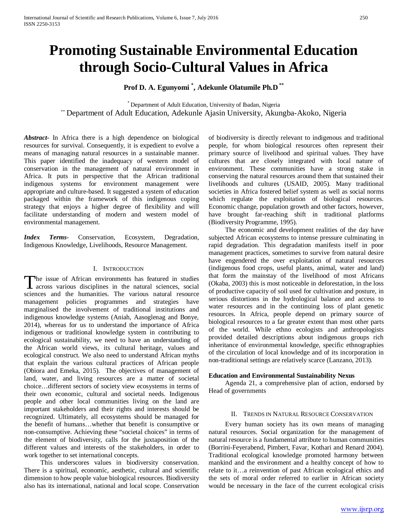# **Promoting Sustainable Environmental Education through Socio-Cultural Values in Africa**

**Prof D. A. Egunyomi \* , Adekunle Olatumile Ph.D \*\***

\* Department of Adult Education, University of Ibadan, Nigeria \*\* Department of Adult Education, Adekunle Ajasin University, Akungba-Akoko, Nigeria

*Abstract***-** In Africa there is a high dependence on biological resources for survival. Consequently, it is expedient to evolve a means of managing natural resources in a sustainable manner. This paper identified the inadequacy of western model of conservation in the management of natural environment in Africa. It puts in perspective that the African traditional indigenous systems for environment management were appropriate and culture-based. It suggested a system of education packaged within the framework of this indigenous coping strategy that enjoys a higher degree of flexibility and will facilitate understanding of modern and western model of environmental management.

*Index Terms*- Conservation, Ecosystem, Degradation, Indigenous Knowledge, Livelihoods, Resource Management.

## I. INTRODUCTION

he issue of African environments has featured in studies The issue of African environments has featured in studies<br>across various disciplines in the natural sciences, social<br> $\Gamma$ sciences and the humanities. The various natural resource management policies programmes and strategies have marginalised the involvement of traditional institutions and indigenous knowledge systems (Aniah, Aasoglenag and Bonye, 2014), whereas for us to understand the importance of Africa indigenous or traditional knowledge system in contributing to ecological sustainability, we need to have an understanding of the African world views, its cultural heritage, values and ecological construct. We also need to understand African myths that explain the various cultural practices of African people (Obiora and Emeka, 2015). The objectives of management of land, water, and living resources are a matter of societal choice…different sectors of society view ecosystems in terms of their own economic, cultural and societal needs. Indigenous people and other local communities living on the land are important stakeholders and their rights and interests should be recognized. Ultimately, all ecosystems should be managed for the benefit of humans…whether that benefit is consumptive or non-consumptive. Achieving these "societal choices" in terms of the element of biodiversity, calls for the juxtaposition of the different values and interests of the stakeholders, in order to work together to set international concepts.

 This underscores values in biodiversity conservation. There is a spiritual, economic, aesthetic, cultural and scientific dimension to how people value biological resources. Biodiversity also has its international, national and local scope. Conservation

of biodiversity is directly relevant to indigenous and traditional people, for whom biological resources often represent their primary source of livelihood and spiritual values. They have cultures that are closely integrated with local nature of environment. These communities have a strong stake in conserving the natural resources around them that sustained their livelihoods and cultures (USAID, 2005). Many traditional societies in Africa fostered belief system as well as social norms which regulate the exploitation of biological resources. Economic change, population growth and other factors, however, have brought far-reaching shift in traditional platforms (Biodiversity Programme, 1995).

 The economic and development realities of the day have subjected African ecosystems to intense pressure culminating in rapid degradation. This degradation manifests itself in poor management practices, sometimes to survive from natural desire have engendered the over exploitation of natural resources (indigenous food crops, useful plants, animal, water and land) that form the mainstay of the livelihood of most Africans (Okaba, 2003) this is most noticeable in deforestation, in the loss of productive capacity of soil used for cultivation and posture, in serious distortions in the hydrological balance and access to water resources and in the continuing loss of plant genetic resources. In Africa, people depend on primary source of biological resources to a far greater extent than most other parts of the world. While ethno ecologists and anthropologists provided detailed descriptions about indigenous groups rich inheritance of environmental knowledge, specific ethnographies of the circulation of local knowledge and of its incorporation in non-traditional settings are relatively scarce (Lanzano, 2013).

## **Education and Environmental Sustainability Nexus**

 Agenda 21, a comprehensive plan of action, endorsed by Head of governments

#### II. TRENDS IN NATURAL RESOURCE CONSERVATION

 Every human society has its own means of managing natural resources. Social organization for the management of natural resource is a fundamental attribute to human communities (Borrini-Feyerabend, Pimbert, Favar, Kothari and Renard 2004). Traditional ecological knowledge promoted harmony between mankind and the environment and a healthy concept of how to relate to it…a reinvention of past African ecological ethics and the sets of moral order referred to earlier in African society would be necessary in the face of the current ecological crisis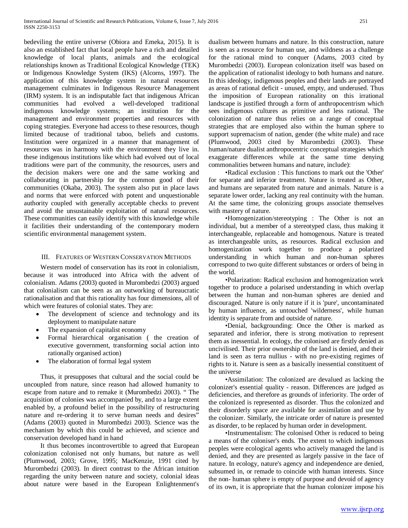bedeviling the entire universe (Obiora and Emeka, 2015). It is also an established fact that local people have a rich and detailed knowledge of local plants, animals and the ecological relationships known as Traditional Ecological Knowledge (TEK) or Indigenous Knowledge System (IKS) (Alcorns, 1997). The application of this knowledge system in natural resources management culminates in Indigenous Resource Management (IRM) system. It is an indisputable fact that indigenous African communities had evolved a well-developed traditional indigenous knowledge systems; an institution for the management and environment properties and resources with coping strategies. Everyone had access to these resources, though limited because of traditional taboo, beliefs and customs. Institution were organized in a manner that management of resources was in harmony with the environment they live in. these indigenous institutions like which had evolved out of local traditions were part of the community, the resources, users and the decision makers were one and the same working and collaborating in partnership for the common good of their communities (Okaba, 2003). The system also put in place laws and norms that were enforced with potent and unquestionable authority coupled with generally acceptable checks to prevent and avoid the unsustainable exploitation of natural resources. These communities can easily identify with this knowledge while it facilities their understanding of the contemporary modern scientific environmental management system.

## III. FEATURES OF WESTERN CONSERVATION METHODS

 Western model of conservation has its root in colonialism, because it was introduced into Africa with the advent of colonialism. Adams (2003) quoted in Murombedzi (2003) argued that colonialism can be seen as an outworking of bureaucratic rationalisation and that this rationality has four dimensions, all of which were features of colonial states. They are:

- The development of science and technology and its deployment to manipulate nature
- The expansion of capitalist economy
- Formal hierarchical organisation ( the creation of executive government, transforming social action into rationally organised action)
- The elaboration of formal legal system

 Thus, it presupposes that cultural and the social could be uncoupled from nature, since reason had allowed humanity to escape from nature and to remake it (Murombedzi 2003). " The acquisition of colonies was accompanied by, and to a large extent enabled by, a profound belief in the possibility of restructuring nature and re-ordering it to serve human needs and desires" (Adams (2003) quoted in Murombedzi 2003). Science was the mechanism by which this could be achieved, and science and conservation developed hand in hand

 It thus becomes incontrovertible to agreed that European colonization colonised not only humans, but nature as well (Plumwood, 2003; Grove, 1995; MacKenzie, 1991 cited by Murombedzi (2003). In direct contrast to the African intuition regarding the unity between nature and society, colonial ideas about nature were based in the European Enlightenment's

dualism between humans and nature. In this construction, nature is seen as a resource for human use, and wildness as a challenge for the rational mind to conquer (Adams, 2003 cited by Murombedzi (2003). European colonization itself was based on the application of rationalist ideology to both humans and nature. In this ideology, indigenous peoples and their lands are portrayed as areas of rational deficit - unused, empty, and underused. Thus the imposition of European rationality on this irrational landscape is justified through a form of anthropocentrism which sees indigenous cultures as primitive and less rational. The colonization of nature thus relies on a range of conceptual strategies that are employed also within the human sphere to support supremacism of nation, gender (the white male) and race (Plumwood, 2003 cited by Murombedzi (2003). These human/nature dualist anthropocentric conceptual strategies which exaggerate differences while at the same time denying commonalities between humans and nature, include):

 •Radical exclusion : This functions to mark out the 'Other' for separate and inferior treatment. Nature is treated as Other, and humans are separated from nature and animals. Nature is a separate lower order, lacking any real continuity with the human. At the same time, the colonizing groups associate themselves with mastery of nature.

 •Homogenization/stereotyping : The Other is not an individual, but a member of a stereotyped class, thus making it interchangeable, replaceable and homogenous. Nature is treated as interchangeable units, as resources. Radical exclusion and homogenization work together to produce a polarized understanding in which human and non-human spheres correspond to two quite different substances or orders of being in the world.

 •Polarization: Radical exclusion and homogenization work together to produce a polarised understanding in which overlap between the human and non-human spheres are denied and discouraged. Nature is only nature if it is 'pure', uncontaminated by human influence, as untouched 'wilderness', while human identity is separate from and outside of nature.

 •Denial, backgrounding: Once the Other is marked as separated and inferior, there is strong motivation to represent them as inessential. In ecology, the colonised are firstly denied as uncivilised. Their prior ownership of the land is denied, and their land is seen as terra nullius - with no pre-existing regimes of rights to it. Nature is seen as a basically inessential constituent of the universe

 •Assimilation: The colonized are devalued as lacking the colonizer's essential quality - reason. Differences are judged as deficiencies, and therefore as grounds of inferiority. The order of the colonized is represented as disorder. Thus the colonized and their disorderly space are available for assimilation and use by the colonizer. Similarly, the intricate order of nature is presented as disorder, to be replaced by human order in development.

 •Instrumentalism: The colonised Other is reduced to being a means of the coloniser's ends. The extent to which indigenous peoples were ecological agents who actively managed the land is denied, and they are presented as largely passive in the face of nature. In ecology, nature's agency and independence are denied, subsumed in, or remade to coincide with human interests. Since the non- human sphere is empty of purpose and devoid of agency of its own, it is appropriate that the human colonizer impose his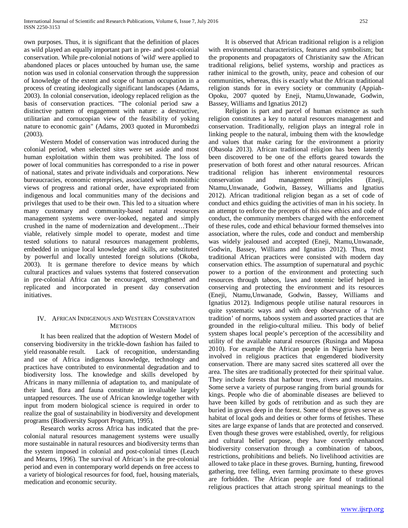own purposes. Thus, it is significant that the definition of places as wild played an equally important part in pre- and post-colonial conservation. While pre-colonial notions of 'wild' were applied to abandoned places or places untouched by human use, the same notion was used in colonial conservation through the suppression of knowledge of the extent and scope of human occupation in a process of creating ideologically significant landscapes (Adams, 2003). In colonial conservation, ideology replaced religion as the basis of conservation practices. "The colonial period saw a distinctive pattern of engagement with nature: a destructive, utilitarian and cornucopian view of the feasibility of yoking nature to economic gain" (Adams, 2003 quoted in Murombedzi (2003).

 Western Model of conservation was introduced during the colonial period, when selected sites were set aside and most human exploitation within them was prohibited. The loss of power of local communities has corresponded to a rise in power of national, states and private individuals and corporations. New bureaucracies, economic enterprises, associated with monolithic views of progress and rational order, have expropriated from indigenous and local communities many of the decisions and privileges that used to be their own. This led to a situation where many customary and community-based natural resources management systems were over-looked, negated and simply crushed in the name of modernization and development…Their viable, relatively simple model to operate, modest and time tested solutions to natural resources management problems, embedded in unique local knowledge and skills, are substituted by powerful and locally untested foreign solutions (Okoba, 2003). It is germane therefore to device means by which cultural practices and values systems that fostered conservation in pre-colonial Africa can be encouraged, strengthened and replicated and incorporated in present day conservation initiatives.

# IV. AFRICAN INDIGENOUS AND WESTERN CONSERVATION **METHODS**

 It has been realized that the adoption of Western Model of conserving biodiversity in the trickle-down fashion has failed to yield reasonable result. Lack of recognition, understanding and use of Africa indigenous knowledge, technology and practices have contributed to environmental degradation and to biodiversity loss. The knowledge and skills developed by Africans in many millennia of adaptation to, and manipulate of their land, flora and fauna constitute an invaluable largely untapped resources. The use of African knowledge together with input from modern biological science is required in order to realize the goal of sustainability in biodiversity and development programs (Biodiversity Support Program, 1995).

 Research works across Africa has indicated that the precolonial natural resources management systems were usually more sustainable in natural resources and biodiversity terms than the system imposed in colonial and post-colonial times (Leach and Mearns, 1996). The survival of African's in the pre-colonial period and even in contemporary world depends on free access to a variety of biological resources for food, fuel, housing materials, medication and economic security.

 It is observed that African traditional religion is a religion with environmental characteristics, features and symbolism; but the proponents and propagators of Christianity saw the African traditional religions, belief systems, worship and practices as rather inimical to the growth, unity, peace and cohesion of our communities, whereas, this is exactly what the African traditional religion stands for in every society or community (Appiah-Opoku, 2007 quoted by Eneji, Ntamu,Unwanade, Godwin, Bassey, Williams and Ignatius 2012)

 Religion is part and parcel of human existence as such religion constitutes a key to natural resources management and conservation. Traditionally, religion plays an integral role in linking people to the natural, imbuing them with the knowledge and values that make caring for the environment a priority (Obasola 2013). African traditional religion has been latently been discovered to be one of the efforts geared towards the preservation of both forest and other natural resources. African traditional religion has inherent environmental resources conservation and management principles (Eneji, Ntamu,Unwanade, Godwin, Bassey, Williams and Ignatius 2012). African traditional religion began as a set of code of conduct and ethics guiding the activities of man in his society. In an attempt to enforce the precepts of this new ethics and code of conduct, the community members charged with the enforcement of these rules, code and ethical behaviour formed themselves into association, where the rules, code and conduct and membership was widely jealoused and accepted (Eneji, Ntamu,Unwanade, Godwin, Bassey, Williams and Ignatius 2012). Thus, most traditional African practices were consisted with modern day conservation ethics. The assumption of supernatural and psychic power to a portion of the environment and protecting such resources through taboos, laws and totemic belief helped in conserving and protecting the environment and its resources (Eneji, Ntamu,Unwanade, Godwin, Bassey, Williams and Ignatius 2012). Indigenous people utilise natural resources in quite systematic ways and with deep observance of a 'rich tradition' of norms, taboos system and assorted practices that are grounded in the religio-cultural milieu. This body of belief system shapes local people's perception of the accessibility and utility of the available natural resources (Rusinga and Maposa 2010). For example the African people in Nigeria have been involved in religious practices that engendered biodiversity conservation. There are many sacred sites scattered all over the area. The sites are traditionally protected for their spiritual value. They include forests that harbour trees, rivers and mountains. Some serve a variety of purpose ranging from burial grounds for kings. People who die of abominable diseases are believed to have been killed by gods of retribution and as such they are buried in groves deep in the forest. Some of these groves serve as habitat of local gods and deities or other forms of fetishes. These sites are large expanse of lands that are protected and conserved. Even though these groves were established, overtly, for religious and cultural belief purpose, they have covertly enhanced biodiversity conservation through a combination of taboos, restrictions, prohibitions and beliefs. No livelihood activities are allowed to take place in these groves. Burning, hunting, firewood gathering, tree felling, even farming proximate to these groves are forbidden. The African people are fond of traditional religious practices that attach strong spiritual meanings to the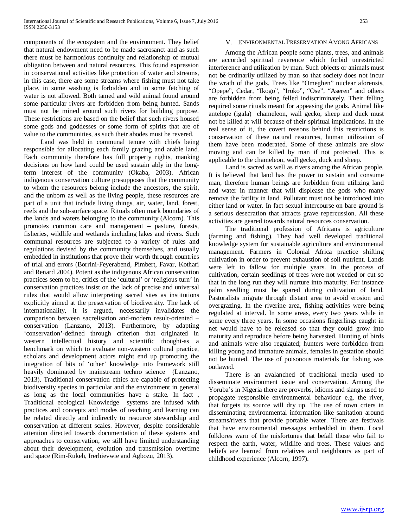components of the ecosystem and the environment. They belief that natural endowment need to be made sacrosanct and as such there must be harmonious continuity and relationship of mutual obligation between and natural resources. This found expression in conservational activities like protection of water and streams, in this case, there are some streams where fishing must not take place, in some washing is forbidden and in some fetching of water is not allowed. Both tamed and wild animal found around some particular rivers are forbidden from being hunted. Sands must not be mined around such rivers for building purpose. These restrictions are based on the belief that such rivers housed some gods and goddesses or some form of spirits that are of value to the communities, as such their abodes must be revered.

 Land was held in communal tenure with chiefs being responsible for allocating each family grazing and arable land. Each community therefore has full property rights, manking decisions on how land could be used sustain ably in the longterm interest of the community (Okaba, 2003). African indigenous conservation culture presupposes that the community to whom the resources belong include the ancestors, the spirit, and the unborn as well as the living people, these resources are part of a unit that include living things, air, water, land, forest, reefs and the sub-surface space. Rituals often mark boundaries of the lands and waters belonging to the community (Alcorn). This promotes common care and management – pasture, forests, fisheries, wildlife and wetlands including lakes and rivers. Such communal resources are subjected to a variety of rules and regulations devised by the community themselves, and usually embedded in institutions that prove their worth through countries of trial and errors (Borrini-Feyerabend, Pimbert, Favar, Kothari and Renard 2004). Potent as the indigenous African conservation practices seem to be, critics of the 'cultural' or 'religious turn' in conservation practices insist on the lack of precise and universal rules that would allow interpreting sacred sites as institutions explicitly aimed at the preservation of biodiversity. The lack of internationality, it is argued, necessarily invalidates the comparison between sacrelisation and-modern result-oriented – conservation (Lanzano, 2013). Furthermore, by adapting 'conservation'-defined through criterion that originated in western intellectual history and scientific thought-as a benchmark on which to evaluate non-western cultural practice, scholars and development actors might end up promoting the integration of bits of 'other' knowledge into framework still heavily dominated by mainstream techno science (Lanzano, 2013). Traditional conservation ethics are capable of protecting biodiversity species in particular and the environment in general as long as the local communities have a stake. In fact , Traditional ecological Knowledge systems are infused with practices and concepts and modes of teaching and learning can be related directly and indirectly to resource stewardship and conservation at different scales. However, despite considerable attention directed towards documentation of these systems and approaches to conservation, we still have limited understanding about their development, evolution and transmission overtime and space (Rim-Rukeh, Irerhievwie and Agbozu, 2013).

#### V. ENVIRONMENTAL PRESERVATION AMONG AFRICANS

 Among the African people some plants, trees, and animals are accorded spiritual reverence which forbid unrestricted interference and utilization by man. Such objects or animals must not be ordinarily utilized by man so that society does not incur the wrath of the gods. Trees like "Omeghen" nuclear aforensis, "Opepe", Cedar, "Ikogo", "Iroko", "Ose", "Aseren" and others are forbidden from being felled indiscriminately. Their felling required some rituals meant for appeasing the gods. Animal like antelope (igala) chameleon, wall gecko, sheep and duck must not be killed at will because of their spiritual implications. In the real sense of it, the covert reasons behind this restrictions is conservation of these natural resources, human utilization of them have been moderated. Some of these animals are slow moving and can be killed by man if not protected. This is applicable to the chameleon, wall gecko, duck and sheep.

 Land is sacred as well as rivers among the African people. It is believed that land has the power to sustain and consume man, therefore human beings are forbidden from utilizing land and water in manner that will displease the gods who many remove the fatility in land. Pollutant must not be introduced into either land or water. In fact sexual intercourse on bare ground is a serious desecration that attracts grave repercussion. All these activities are geared towards natural resources conservation.

 The traditional profession of Africans is agriculture (farming and fishing). They had well developed traditional knowledge system for sustainable agriculture and environmental management. Farmers in Colonial Africa practice shifting cultivation in order to prevent exhaustion of soil nutrient. Lands were left to fallow for multiple years. In the process of cultivation, certain seedlings of trees were not weeded or cut so that in the long run they will nurture into maturity. For instance palm seedling must be spared during cultivation of land. Pastoralists migrate through distant area to avoid erosion and overgrazing. In the riverine area, fishing activities were being regulated at interval. In some areas, every two years while in some every three years. In some occasions fingerlings caught in net would have to be released so that they could grow into maturity and reproduce before being harvested. Hunting of birds and animals were also regulated; hunters were forbidden from killing young and immature animals, females in gestation should not be hunted. The use of poisonous materials for fishing was outlawed.

 There is an avalanched of traditional media used to disseminate environment issue and conservation. Among the Yoruba's in Nigeria there are proverbs, idioms and slangs used to propagate responsible environmental behaviour e.g. the river, that forgets its source will dry up. The use of town criers in disseminating environmental information like sanitation around streams/rivers that provide portable water. There are festivals that have environmental messages embedded in them. Local folklores warn of the misfortunes that befall those who fail to respect the earth, water, wildlife and trees. These values and beliefs are learned from relatives and neighbours as part of childhood experience (Alcorn, 1997).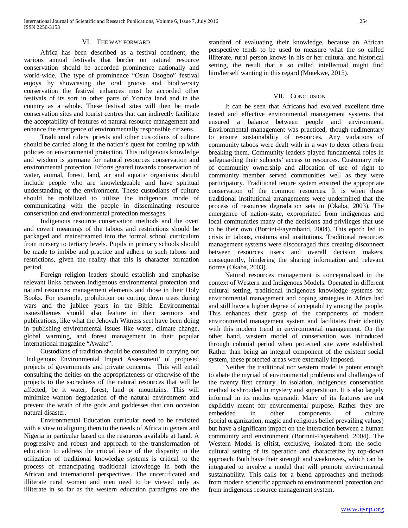#### VI. THE WAY FORWARD

 Africa has been described as a festival continent; the various annual festivals that border on natural resource conservation should be accorded prominence nationally and world-wide. The type of prominence "Osun Osogbo" festival enjoys by showcasing the oral groove and biodiversity conservation the festival enhances must be accorded other festivals of its sort in other parts of Yoruba land and in the country as a whole. These festival sites will then be made conservation sites and tourist centres that can indirectly facilitate the acceptability of features of natural resource management and enhance the emergence of environmentally responsible citizens.

 Traditional rulers, priests and other custodians of culture should be carried along in the nation's quest for coming up with policies on environmental protection. This indigenous knowledge and wisdom is germane for natural resources conservation and environmental protection. Efforts geared towards conservation of water, animal, forest, land, air and aquatic organisms should include people who are knowledgeable and have spiritual understanding of the environment. These custodians of culture should be mobilized to utilize the indigenous mode of communicating with the people in disseminating resource conservation and environmental protection messages.

 Indigenous resource conservation methods and the overt and covert meanings of the taboos and restrictions should be packaged and mainstreamed into the formal school curriculum from nursery to tertiary levels. Pupils in primary schools should be made to imbibe and practice and adhere to such taboos and restrictions, given the reality that this is character formation period.

 Foreign religion leaders should establish and emphasise relevant links between indigenous environmental protection and natural resources management elements and those in their Holy Books. For example, prohibition on cutting down trees during wars and the jubilee years in the Bible. Environmental issues/themes should also feature in their sermons and publications, like what the Jehovah Witness sect have been doing in publishing environmental issues like water, climate change, global warming, and forest management in their popular international magazine "Awake".

 Custodians of tradition should be consulted in carrying out 'Indigenous Environmental Impact Assessment' of proposed projects of governments and private concerns. This will entail consulting the deities on the appropriateness or otherwise of the projects to the sacredness of the natural resources that will be affected, be it water, forest, land or mountains. This will minimize wanton degradation of the natural environment and prevent the wrath of the gods and goddesses that can occasion natural disaster.

 Environmental Education curricular need to be revisited with a view to aligning them to the needs of Africa in genera and Nigeria in particular based on the resources available at hand. A progressive and robust and approach to the transformation of education to address the crucial issue of the disparity in the utilization of traditional knowledge systems is critical to the process of emancipating traditional knowledge in both the African and international perspectives. The uncertificated and illiterate rural women and men need to be viewed only as illiterate in so far as the western education paradigms are the

#### VII. CONCLUSION

 It can be seen that Africans had evolved excellent time tested and effective environmental management systems that ensured a balance between people and environment. Environmental management was practiced, though rudimentary to ensure sustainability of resources. Any violations of community taboos were dealt with in a way to deter others from breaking them. Community leaders played fundamental roles in safeguarding their subjects' access to resources. Customary role of community ownership and allocation of use of right to community member served communities well as they were participatory. Traditional tenure system ensured the appropriate conservation of the common resources. It is when these traditional institutional arrangements were undermined that the process of resources degradation sets in (Okaba, 2003). The emergence of nation-state, expropriated from indigenous and local communities many of the decisions and privileges that use to be their own (Borrini-Fayeraband, 2004). This epoch led to crisis in taboos, customs and institutions. Traditional resources management systems were discouraged thus creating disconnect between resources users and overall decision makers, consequently, hindering the sharing information and relevant norms (Okaba, 2003).

 Natural resources management is conceptualized in the context of Western and Indigenous Models. Operated in different cultural setting, traditional indigenous knowledge systems for environmental management and coping strategies in Africa had and still have a higher degree of acceptability among the people. This enhances their grasp of the components of modern environmental management system and facilitates their identity with this modern trend in environmental management. On the other hand, western model of conservation was introduced through colonial period when protected site were established. Rather than being an integral component of the existent social system, these protected areas were externally imposed.

 Neither the traditional nor western model is potent enough to abate the myriad of environmental problems and challenges of the twenty first century. In isolation, indigenous conservation method is shrouded in mystery and superstition. It is also largely informal in its modus operandi. Many of its features are not explicitly meant for environmental purpose. Rather they are embedded in other components of culture (social organization, magic and religious belief prevailing values) but have a significant impact on the interaction between a human community and environment (Borinni-Fayerabend, 2004). The Western Model is elitist, exclusive, isolated from the sociocultural setting of its operation and characterize by top-down approach. Both have their strength and weaknesses, which can be integrated to involve a model that will promote environmental sustainability. This calls for a blend approaches and methods from modern scientific approach to environmental protection and from indigenous resource management system.